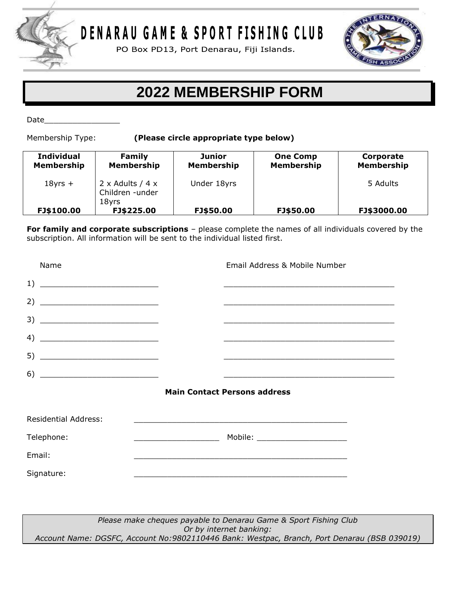

DENARAU GAME & SPORT FISHING CLUB

PO Box PD13, Port Denarau, Fiji Islands.



## **2022 MEMBERSHIP FORM**

Date\_\_\_\_\_\_\_\_\_\_\_\_\_\_\_\_

Membership Type: **(Please circle appropriate type below)**

| <b>Individual</b><br>Membership | Family<br><b>Membership</b>                                | Junior<br><b>Membership</b> | <b>One Comp</b><br><b>Membership</b> | Corporate<br><b>Membership</b> |
|---------------------------------|------------------------------------------------------------|-----------------------------|--------------------------------------|--------------------------------|
| $18yrs +$                       | $2 \times$ Adults / 4 $\times$<br>Children -under<br>18yrs | Under 18yrs                 |                                      | 5 Adults                       |
| FJ\$100.00                      | FJ\$225.00                                                 | FJ\$50.00                   | FJ\$50.00                            | FJ\$3000.00                    |

**For family and corporate subscriptions** – please complete the names of all individuals covered by the subscription. All information will be sent to the individual listed first.

| Name                                  | Email Address & Mobile Number                                                                                         |  |
|---------------------------------------|-----------------------------------------------------------------------------------------------------------------------|--|
| $\begin{tabular}{c} 1) \end{tabular}$ | <u> 1989 - Johann Stoff, amerikansk politiker (* 1908)</u>                                                            |  |
|                                       |                                                                                                                       |  |
| $\begin{tabular}{c} 3) \end{tabular}$ |                                                                                                                       |  |
|                                       |                                                                                                                       |  |
|                                       |                                                                                                                       |  |
| $\begin{tabular}{c} 6) \end{tabular}$ | <u> 1989 - Johann Stoff, deutscher Stoff, der Stoff, der Stoff, der Stoff, der Stoff, der Stoff, der Stoff, der S</u> |  |
|                                       | <b>Main Contact Persons address</b>                                                                                   |  |
| Residential Address:                  | <u> 1989 - Johann Stoff, amerikansk politiker (d. 1989)</u>                                                           |  |
| Telephone:                            | Mobile: _______________________                                                                                       |  |
| Email:                                |                                                                                                                       |  |
| Signature:                            |                                                                                                                       |  |
|                                       |                                                                                                                       |  |

*Please make cheques payable to Denarau Game & Sport Fishing Club Or by internet banking: Account Name: DGSFC, Account No:9802110446 Bank: Westpac, Branch, Port Denarau (BSB 039019)*